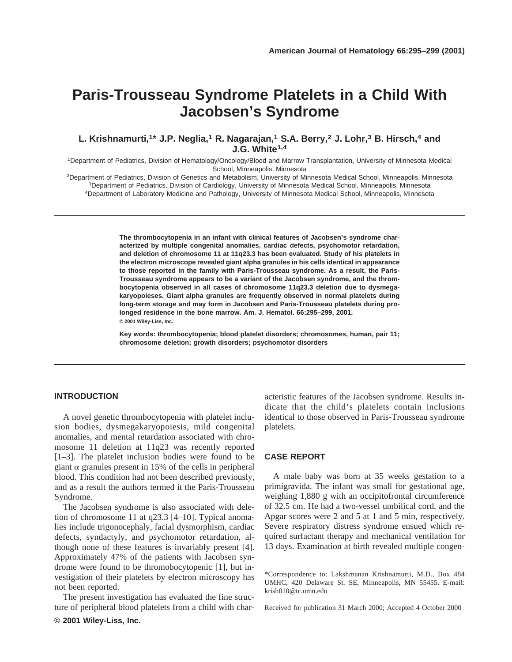# **Paris-Trousseau Syndrome Platelets in a Child With Jacobsen's Syndrome**

## **L. Krishnamurti,1\* J.P. Neglia,1 R. Nagarajan,1 S.A. Berry,2 J. Lohr,3 B. Hirsch,4 and J.G. White1,4**

1Department of Pediatrics, Division of Hematology/Oncology/Blood and Marrow Transplantation, University of Minnesota Medical School, Minneapolis, Minnesota

2Department of Pediatrics, Division of Genetics and Metabolism, University of Minnesota Medical School, Minneapolis, Minnesota 3Department of Pediatrics, Division of Cardiology, University of Minnesota Medical School, Minneapolis, Minnesota 4Department of Laboratory Medicine and Pathology, University of Minnesota Medical School, Minneapolis, Minnesota

> **The thrombocytopenia in an infant with clinical features of Jacobsen's syndrome characterized by multiple congenital anomalies, cardiac defects, psychomotor retardation, and deletion of chromosome 11 at 11q23.3 has been evaluated. Study of his platelets in the electron microscope revealed giant alpha granules in his cells identical in appearance to those reported in the family with Paris-Trousseau syndrome. As a result, the Paris-Trousseau syndrome appears to be a variant of the Jacobsen syndrome, and the thrombocytopenia observed in all cases of chromosome 11q23.3 deletion due to dysmegakaryopoieses. Giant alpha granules are frequently observed in normal platelets during long-term storage and may form in Jacobsen and Paris-Trousseau platelets during prolonged residence in the bone marrow. Am. J. Hematol. 66:295–299, 2001. © 2001 Wiley-Liss, Inc.**

> **Key words: thrombocytopenia; blood platelet disorders; chromosomes, human, pair 11; chromosome deletion; growth disorders; psychomotor disorders**

## **INTRODUCTION**

A novel genetic thrombocytopenia with platelet inclusion bodies, dysmegakaryopoiesis, mild congenital anomalies, and mental retardation associated with chromosome 11 deletion at 11q23 was recently reported [1–3]. The platelet inclusion bodies were found to be giant  $\alpha$  granules present in 15% of the cells in peripheral blood. This condition had not been described previously, and as a result the authors termed it the Paris-Trousseau Syndrome.

The Jacobsen syndrome is also associated with deletion of chromosome 11 at q23.3 [4–10]. Typical anomalies include trigonocephaly, facial dysmorphism, cardiac defects, syndactyly, and psychomotor retardation, although none of these features is invariably present [4]. Approximately 47% of the patients with Jacobsen syndrome were found to be thromobocytopenic [1], but investigation of their platelets by electron microscopy has not been reported.

The present investigation has evaluated the fine structure of peripheral blood platelets from a child with characteristic features of the Jacobsen syndrome. Results indicate that the child's platelets contain inclusions identical to those observed in Paris-Trousseau syndrome platelets.

#### **CASE REPORT**

A male baby was born at 35 weeks gestation to a primigravida. The infant was small for gestational age, weighing 1,880 g with an occipitofrontal circumference of 32.5 cm. He had a two-vessel umbilical cord, and the Apgar scores were 2 and 5 at 1 and 5 min, respectively. Severe respiratory distress syndrome ensued which required surfactant therapy and mechanical ventilation for 13 days. Examination at birth revealed multiple congen-

\*Correspondence to: Lakshmanan Krishnamurti, M.D., Box 484 UMHC, 420 Delaware St. SE, Minneapolis, MN 55455. E-mail: krish010@tc.umn.edu

Received for publication 31 March 2000; Accepted 4 October 2000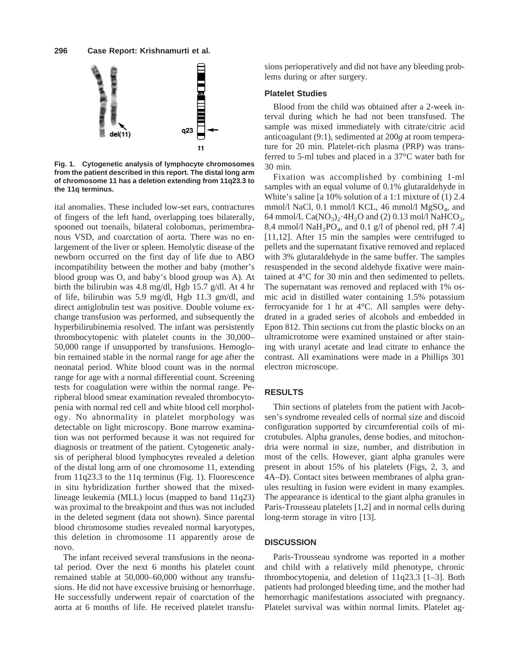

**Fig. 1. Cytogenetic analysis of lymphocyte chromosomes from the patient described in this report. The distal long arm of chromosome 11 has a deletion extending from 11q23.3 to the 11q terminus.**

ital anomalies. These included low-set ears, contractures of fingers of the left hand, overlapping toes bilaterally, spooned out toenails, bilateral colobomas, perimembranous VSD, and coarctation of aorta. There was no enlargement of the liver or spleen. Hemolytic disease of the newborn occurred on the first day of life due to ABO incompatibility between the mother and baby (mother's blood group was O, and baby's blood group was A). At birth the bilirubin was 4.8 mg/dl, Hgb 15.7 g/dl. At 4 hr of life, bilirubin was 5.9 mg/dl, Hgb 11.3 gm/dl, and direct antiglobulin test was positive. Double volume exchange transfusion was performed, and subsequently the hyperbilirubinemia resolved. The infant was persistently thrombocytopenic with platelet counts in the 30,000– 50,000 range if unsupported by transfusions. Hemoglobin remained stable in the normal range for age after the neonatal period. White blood count was in the normal range for age with a normal differential count. Screening tests for coagulation were within the normal range. Peripheral blood smear examination revealed thrombocytopenia with normal red cell and white blood cell morphology. No abnormality in platelet morphology was detectable on light microscopy. Bone marrow examination was not performed because it was not required for diagnosis or treatment of the patient. Cytogenetic analysis of peripheral blood lymphocytes revealed a deletion of the distal long arm of one chromosome 11, extending from 11q23.3 to the 11q terminus (Fig. 1). Fluorescence in situ hybridization further showed that the mixedlineage leukemia (MLL) locus (mapped to band 11q23) was proximal to the breakpoint and thus was not included in the deleted segment (data not shown). Since parental blood chromosome studies revealed normal karyotypes, this deletion in chromosome 11 apparently arose de novo.

The infant received several transfusions in the neonatal period. Over the next 6 months his platelet count remained stable at 50,000–60,000 without any transfusions. He did not have excessive bruising or hemorrhage. He successfully underwent repair of coarctation of the aorta at 6 months of life. He received platelet transfusions perioperatively and did not have any bleeding problems during or after surgery.

#### **Platelet Studies**

Blood from the child was obtained after a 2-week interval during which he had not been transfused. The sample was mixed immediately with citrate/citric acid anticoagulant (9:1), sedimented at 200*g* at room temperature for 20 min. Platelet-rich plasma (PRP) was transferred to 5-ml tubes and placed in a 37°C water bath for 30 min.

Fixation was accomplished by combining 1-ml samples with an equal volume of 0.1% glutaraldehyde in White's saline [a 10% solution of a 1:1 mixture of (1) 2.4 mmol/l NaCl, 0.1 mmol/l KCL, 46 mmol/l  $MgSO<sub>4</sub>$ , and 64 mmol/L Ca(NO<sub>3</sub>)<sub>2</sub>.4H<sub>2</sub>O and (2) 0.13 mol/l NaHCO<sub>3</sub>, 8.4 mmol/l NaH<sub>2</sub>PO<sub>4</sub>, and 0.1 g/l of phenol red, pH 7.4] [11,12]. After 15 min the samples were centrifuged to pellets and the supernatant fixative removed and replaced with 3% glutaraldehyde in the same buffer. The samples resuspended in the second aldehyde fixative were maintained at 4°C for 30 min and then sedimented to pellets. The supernatant was removed and replaced with 1% osmic acid in distilled water containing 1.5% potassium ferrocyanide for 1 hr at 4°C. All samples were dehydrated in a graded series of alcohols and embedded in Epon 812. Thin sections cut from the plastic blocks on an ultramicrotome were examined unstained or after staining with uranyl acetate and lead citrate to enhance the contrast. All examinations were made in a Phillips 301 electron microscope.

### **RESULTS**

Thin sections of platelets from the patient with Jacobsen's syndrome revealed cells of normal size and discoid configuration supported by circumferential coils of microtubules. Alpha granules, dense bodies, and mitochondria were normal in size, number, and distribution in most of the cells. However, giant alpha granules were present in about 15% of his platelets (Figs, 2, 3, and 4A–D). Contact sites between membranes of alpha granules resulting in fusion were evident in many examples. The appearance is identical to the giant alpha granules in Paris-Trousseau platelets [1,2] and in normal cells during long-term storage in vitro [13].

# **DISCUSSION**

Paris-Trousseau syndrome was reported in a mother and child with a relatively mild phenotype, chronic thrombocytopenia, and deletion of 11q23.3 [1–3]. Both patients had prolonged bleeding time, and the mother had hemorrhagic manifestations associated with pregnancy. Platelet survival was within normal limits. Platelet ag-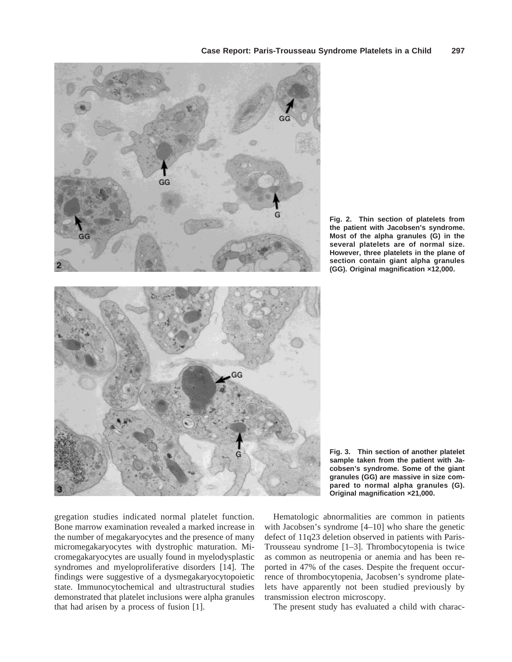

**Fig. 2. Thin section of platelets from the patient with Jacobsen's syndrome. Most of the alpha granules (G) in the several platelets are of normal size. However, three platelets in the plane of section contain giant alpha granules (GG). Original magnification ×12,000.**

gregation studies indicated normal platelet function. Bone marrow examination revealed a marked increase in the number of megakaryocytes and the presence of many micromegakaryocytes with dystrophic maturation. Micromegakaryocytes are usually found in myelodysplastic syndromes and myeloproliferative disorders [14]. The findings were suggestive of a dysmegakaryocytopoietic state. Immunocytochemical and ultrastructural studies demonstrated that platelet inclusions were alpha granules that had arisen by a process of fusion [1].



Hematologic abnormalities are common in patients with Jacobsen's syndrome [4–10] who share the genetic defect of 11q23 deletion observed in patients with Paris-Trousseau syndrome [1–3]. Thrombocytopenia is twice as common as neutropenia or anemia and has been reported in 47% of the cases. Despite the frequent occurrence of thrombocytopenia, Jacobsen's syndrome platelets have apparently not been studied previously by transmission electron microscopy.

The present study has evaluated a child with charac-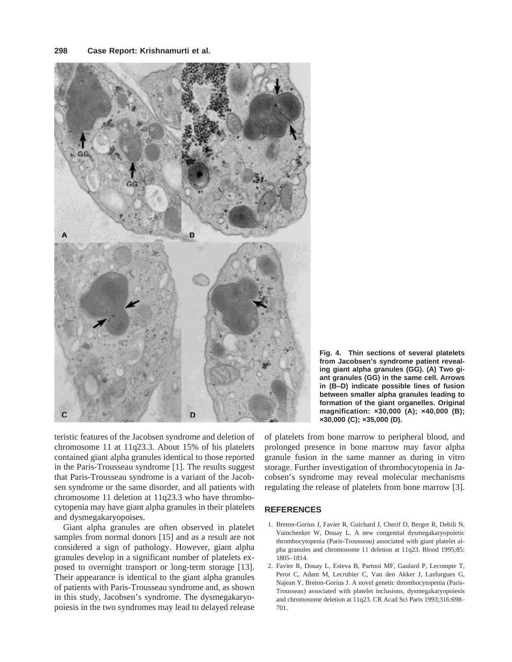

**Fig. 4. Thin sections of several platelets from Jacobsen's syndrome patient revealing giant alpha granules (GG). (A) Two giant granules (GG) in the same cell. Arrows in (B–D) indicate possible lines of fusion between smaller alpha granules leading to formation of the giant organelles. Original magnification: ×30,000 (A); ×40,000 (B); ×30,000 (C); ×35,000 (D).**

teristic features of the Jacobsen syndrome and deletion of chromosome 11 at 11q23.3. About 15% of his platelets contained giant alpha granules identical to those reported in the Paris-Trousseau syndrome [1]. The results suggest that Paris-Trousseau syndrome is a variant of the Jacobsen syndrome or the same disorder, and all patients with chromosome 11 deletion at 11q23.3 who have thrombocytopenia may have giant alpha granules in their platelets and dysmegakaryopoises.

Giant alpha granules are often observed in platelet samples from normal donors [15] and as a result are not considered a sign of pathology. However, giant alpha granules develop in a significant number of platelets exposed to overnight transport or long-term storage [13]. Their appearance is identical to the giant alpha granules of patients with Paris-Trousseau syndrome and, as shown in this study, Jacobsen's syndrome. The dysmegakaryopoiesis in the two syndromes may lead to delayed release of platelets from bone marrow to peripheral blood, and prolonged presence in bone marrow may favor alpha granule fusion in the same manner as during in vitro storage. Further investigation of thrombocytopenia in Jacobsen's syndrome may reveal molecular mechanisms regulating the release of platelets from bone marrow [3].

#### **REFERENCES**

- 1. Breton-Gorius J, Favier R, Guichard J, Cherif D, Berger R, Debili N, Vainchenker W, Douay L. A new congenital dysmegakaryopoietic thrombocytopenia (Paris-Trousseau) associated with giant platelet alpha granules and chromosome 11 deletion at 11q23. Blood 1995;85: 1805–1814.
- 2. Favier R, Douay L, Esteva B, Partnoi MF, Gaulard P, Lecompte T, Perot C, Adam M, Lecrubier C, Van den Akker J, Lasfurgues G, Najean Y, Breton-Gorius J. A novel genetic thrombocytopenia (Paris-Trousseau) associated with platelet inclusions, dysmegakaryopoiesis and chromosome deletion at 11q23. CR Acad Sci Paris 1993;316:698– 701.